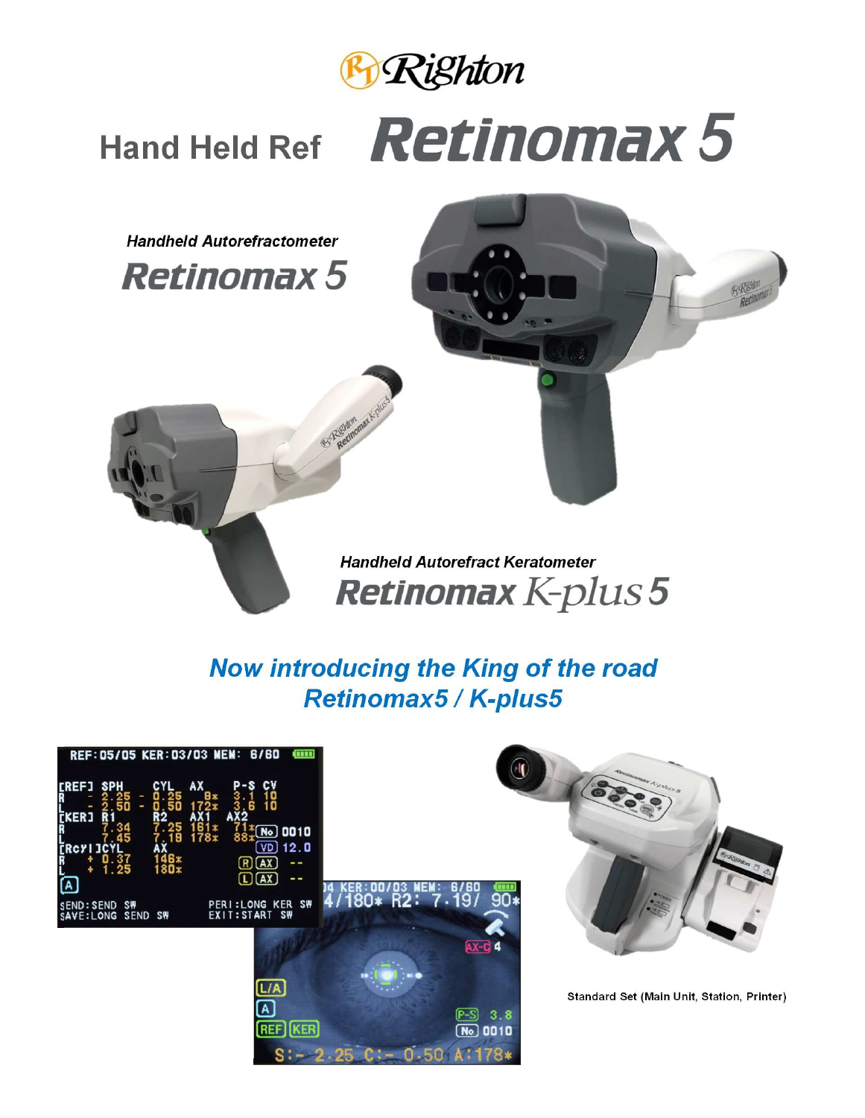

# Hand Held Ref **Retinomax 5**

RE

**Handheld Autorefractometer**

**Retinomax 5** 

**Handheld Autorefract Keratometer Retinomax K-plus 5** 

### **Now introducing the King of the road Retinomax5 / K-plus5**